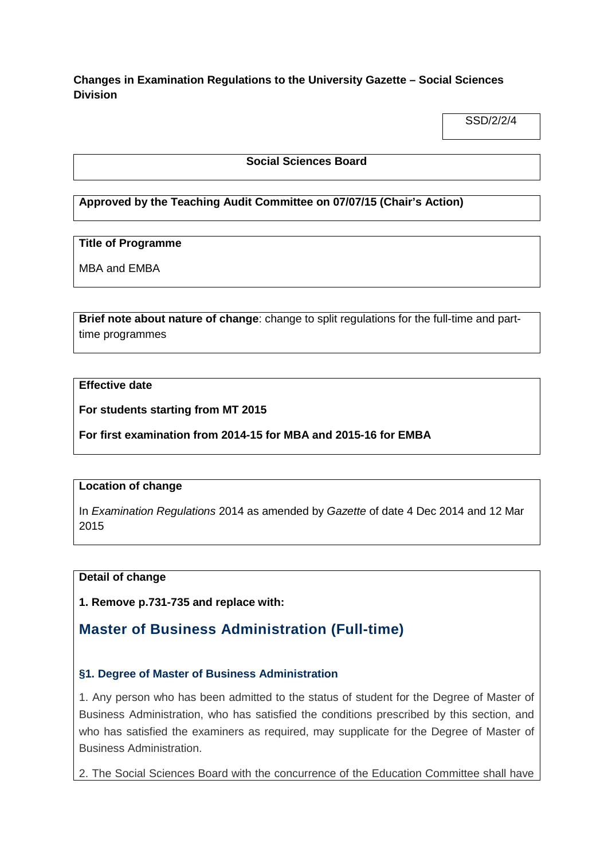### **Changes in Examination Regulations to the University Gazette – Social Sciences Division**

SSD/2/2/4

#### **Social Sciences Board**

### **Approved by the Teaching Audit Committee on 07/07/15 (Chair's Action)**

#### **Title of Programme**

MBA and EMBA

**Brief note about nature of change**: change to split regulations for the full-time and parttime programmes

#### **Effective date**

**For students starting from MT 2015**

**For first examination from 2014-15 for MBA and 2015-16 for EMBA**

#### **Location of change**

In *Examination Regulations* 2014 as amended by *Gazette* of date 4 Dec 2014 and 12 Mar 2015

#### **Detail of change**

**1. Remove p.731-735 and replace with:**

# **Master of Business Administration (Full-time)**

### **§1. Degree of Master of Business Administration**

1. Any person who has been admitted to the status of student for the Degree of Master of Business Administration, who has satisfied the conditions prescribed by this section, and who has satisfied the examiners as required, may supplicate for the Degree of Master of Business Administration.

2. The Social Sciences Board with the concurrence of the Education Committee shall have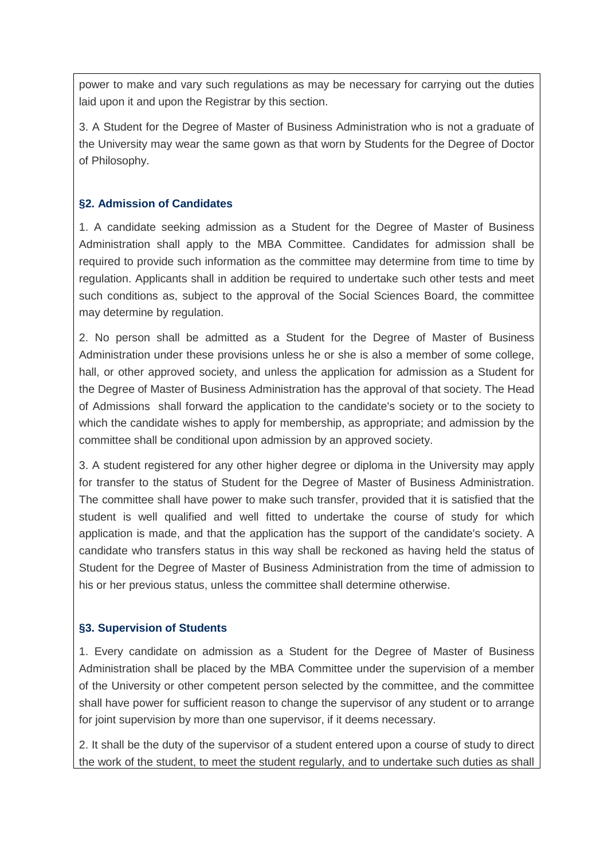power to make and vary such regulations as may be necessary for carrying out the duties laid upon it and upon the Registrar by this section.

3. A Student for the Degree of Master of Business Administration who is not a graduate of the University may wear the same gown as that worn by Students for the Degree of Doctor of Philosophy.

# **§2. Admission of Candidates**

1. A candidate seeking admission as a Student for the Degree of Master of Business Administration shall apply to the MBA Committee. Candidates for admission shall be required to provide such information as the committee may determine from time to time by regulation. Applicants shall in addition be required to undertake such other tests and meet such conditions as, subject to the approval of the Social Sciences Board, the committee may determine by regulation.

2. No person shall be admitted as a Student for the Degree of Master of Business Administration under these provisions unless he or she is also a member of some college, hall, or other approved society, and unless the application for admission as a Student for the Degree of Master of Business Administration has the approval of that society. The Head of Admissions shall forward the application to the candidate's society or to the society to which the candidate wishes to apply for membership, as appropriate; and admission by the committee shall be conditional upon admission by an approved society.

3. A student registered for any other higher degree or diploma in the University may apply for transfer to the status of Student for the Degree of Master of Business Administration. The committee shall have power to make such transfer, provided that it is satisfied that the student is well qualified and well fitted to undertake the course of study for which application is made, and that the application has the support of the candidate's society. A candidate who transfers status in this way shall be reckoned as having held the status of Student for the Degree of Master of Business Administration from the time of admission to his or her previous status, unless the committee shall determine otherwise.

# **§3. Supervision of Students**

1. Every candidate on admission as a Student for the Degree of Master of Business Administration shall be placed by the MBA Committee under the supervision of a member of the University or other competent person selected by the committee, and the committee shall have power for sufficient reason to change the supervisor of any student or to arrange for joint supervision by more than one supervisor, if it deems necessary.

2. It shall be the duty of the supervisor of a student entered upon a course of study to direct the work of the student, to meet the student regularly, and to undertake such duties as shall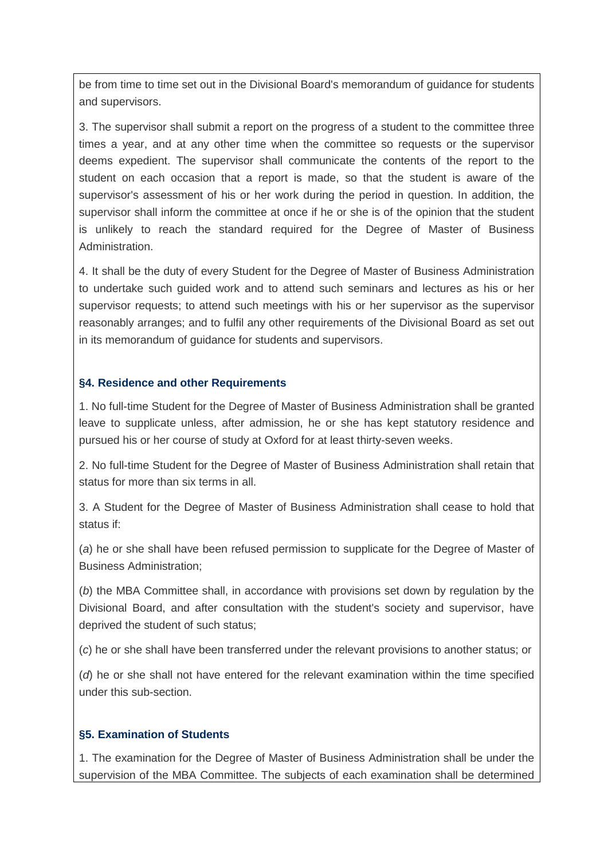be from time to time set out in the Divisional Board's memorandum of guidance for students and supervisors.

3. The supervisor shall submit a report on the progress of a student to the committee three times a year, and at any other time when the committee so requests or the supervisor deems expedient. The supervisor shall communicate the contents of the report to the student on each occasion that a report is made, so that the student is aware of the supervisor's assessment of his or her work during the period in question. In addition, the supervisor shall inform the committee at once if he or she is of the opinion that the student is unlikely to reach the standard required for the Degree of Master of Business Administration.

4. It shall be the duty of every Student for the Degree of Master of Business Administration to undertake such guided work and to attend such seminars and lectures as his or her supervisor requests; to attend such meetings with his or her supervisor as the supervisor reasonably arranges; and to fulfil any other requirements of the Divisional Board as set out in its memorandum of guidance for students and supervisors.

### **§4. Residence and other Requirements**

1. No full-time Student for the Degree of Master of Business Administration shall be granted leave to supplicate unless, after admission, he or she has kept statutory residence and pursued his or her course of study at Oxford for at least thirty-seven weeks.

2. No full-time Student for the Degree of Master of Business Administration shall retain that status for more than six terms in all.

3. A Student for the Degree of Master of Business Administration shall cease to hold that status if:

(*a*) he or she shall have been refused permission to supplicate for the Degree of Master of Business Administration;

(*b*) the MBA Committee shall, in accordance with provisions set down by regulation by the Divisional Board, and after consultation with the student's society and supervisor, have deprived the student of such status;

(*c*) he or she shall have been transferred under the relevant provisions to another status; or

(*d*) he or she shall not have entered for the relevant examination within the time specified under this sub-section.

# **§5. Examination of Students**

1. The examination for the Degree of Master of Business Administration shall be under the supervision of the MBA Committee. The subjects of each examination shall be determined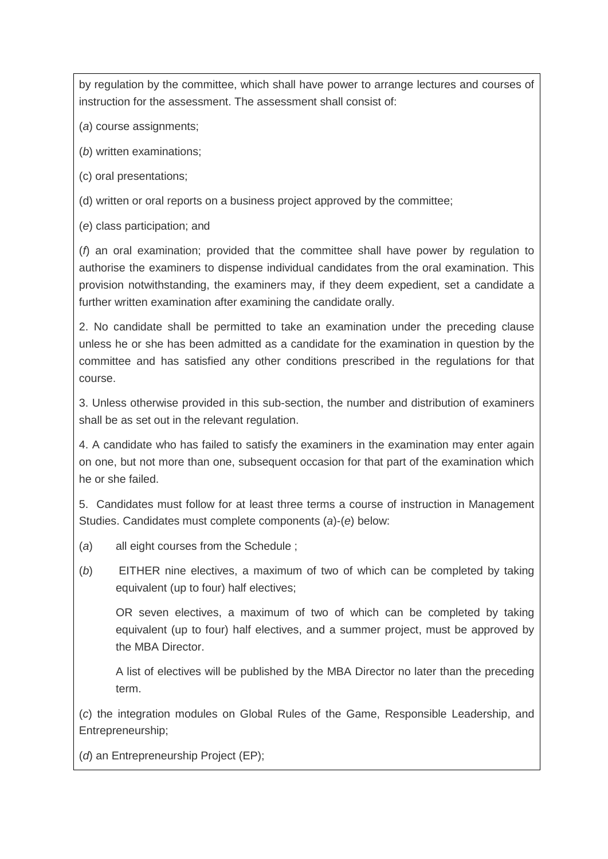by regulation by the committee, which shall have power to arrange lectures and courses of instruction for the assessment. The assessment shall consist of:

(*a*) course assignments;

(*b*) written examinations;

(c) oral presentations;

(d) written or oral reports on a business project approved by the committee;

(*e*) class participation; and

(*f*) an oral examination; provided that the committee shall have power by regulation to authorise the examiners to dispense individual candidates from the oral examination. This provision notwithstanding, the examiners may, if they deem expedient, set a candidate a further written examination after examining the candidate orally.

2. No candidate shall be permitted to take an examination under the preceding clause unless he or she has been admitted as a candidate for the examination in question by the committee and has satisfied any other conditions prescribed in the regulations for that course.

3. Unless otherwise provided in this sub-section, the number and distribution of examiners shall be as set out in the relevant regulation.

4. A candidate who has failed to satisfy the examiners in the examination may enter again on one, but not more than one, subsequent occasion for that part of the examination which he or she failed.

5. Candidates must follow for at least three terms a course of instruction in Management Studies. Candidates must complete components (*a*)-(*e*) below:

- (*a*) all eight courses from the Schedule ;
- (*b*) EITHER nine electives, a maximum of two of which can be completed by taking equivalent (up to four) half electives;

OR seven electives, a maximum of two of which can be completed by taking equivalent (up to four) half electives, and a summer project, must be approved by the MBA Director.

A list of electives will be published by the MBA Director no later than the preceding term.

(*c*) the integration modules on Global Rules of the Game, Responsible Leadership, and Entrepreneurship;

(*d*) an Entrepreneurship Project (EP);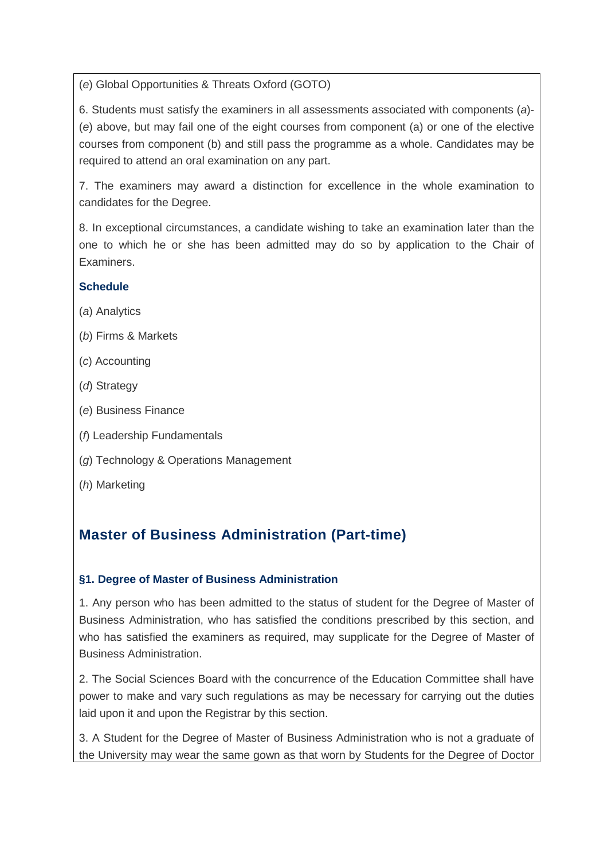(*e*) Global Opportunities & Threats Oxford (GOTO)

6. Students must satisfy the examiners in all assessments associated with components (*a*)- (*e*) above, but may fail one of the eight courses from component (a) or one of the elective courses from component (b) and still pass the programme as a whole. Candidates may be required to attend an oral examination on any part.

7. The examiners may award a distinction for excellence in the whole examination to candidates for the Degree.

8. In exceptional circumstances, a candidate wishing to take an examination later than the one to which he or she has been admitted may do so by application to the Chair of Examiners.

### **Schedule**

- (*a*) Analytics
- (*b*) Firms & Markets
- (*c*) Accounting
- (*d*) Strategy
- (*e*) Business Finance
- (*f*) Leadership Fundamentals
- (*g*) Technology & Operations Management
- (*h*) Marketing

# **Master of Business Administration (Part-time)**

### **§1. Degree of Master of Business Administration**

1. Any person who has been admitted to the status of student for the Degree of Master of Business Administration, who has satisfied the conditions prescribed by this section, and who has satisfied the examiners as required, may supplicate for the Degree of Master of Business Administration.

2. The Social Sciences Board with the concurrence of the Education Committee shall have power to make and vary such regulations as may be necessary for carrying out the duties laid upon it and upon the Registrar by this section.

3. A Student for the Degree of Master of Business Administration who is not a graduate of the University may wear the same gown as that worn by Students for the Degree of Doctor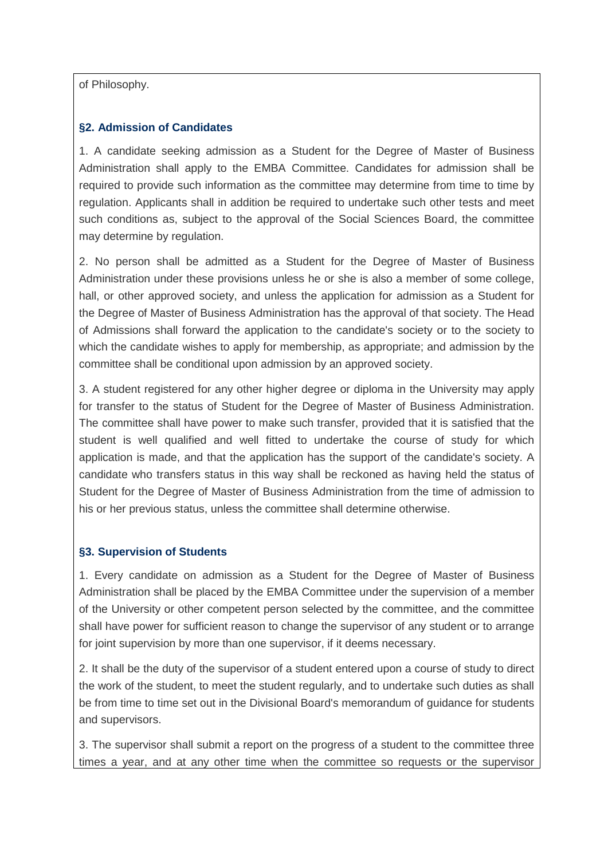of Philosophy.

### **§2. Admission of Candidates**

1. A candidate seeking admission as a Student for the Degree of Master of Business Administration shall apply to the EMBA Committee. Candidates for admission shall be required to provide such information as the committee may determine from time to time by regulation. Applicants shall in addition be required to undertake such other tests and meet such conditions as, subject to the approval of the Social Sciences Board, the committee may determine by regulation.

2. No person shall be admitted as a Student for the Degree of Master of Business Administration under these provisions unless he or she is also a member of some college, hall, or other approved society, and unless the application for admission as a Student for the Degree of Master of Business Administration has the approval of that society. The Head of Admissions shall forward the application to the candidate's society or to the society to which the candidate wishes to apply for membership, as appropriate; and admission by the committee shall be conditional upon admission by an approved society.

3. A student registered for any other higher degree or diploma in the University may apply for transfer to the status of Student for the Degree of Master of Business Administration. The committee shall have power to make such transfer, provided that it is satisfied that the student is well qualified and well fitted to undertake the course of study for which application is made, and that the application has the support of the candidate's society. A candidate who transfers status in this way shall be reckoned as having held the status of Student for the Degree of Master of Business Administration from the time of admission to his or her previous status, unless the committee shall determine otherwise.

### **§3. Supervision of Students**

1. Every candidate on admission as a Student for the Degree of Master of Business Administration shall be placed by the EMBA Committee under the supervision of a member of the University or other competent person selected by the committee, and the committee shall have power for sufficient reason to change the supervisor of any student or to arrange for joint supervision by more than one supervisor, if it deems necessary.

2. It shall be the duty of the supervisor of a student entered upon a course of study to direct the work of the student, to meet the student regularly, and to undertake such duties as shall be from time to time set out in the Divisional Board's memorandum of guidance for students and supervisors.

3. The supervisor shall submit a report on the progress of a student to the committee three times a year, and at any other time when the committee so requests or the supervisor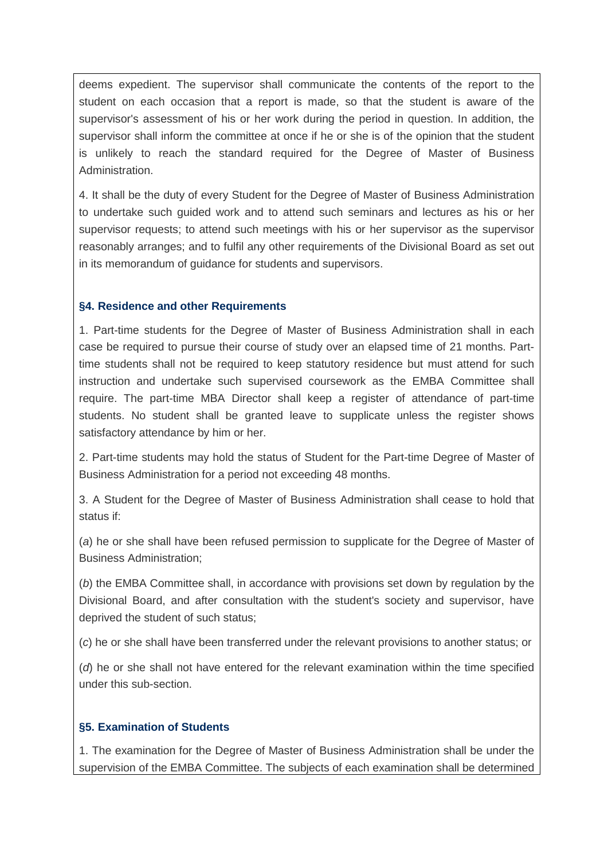deems expedient. The supervisor shall communicate the contents of the report to the student on each occasion that a report is made, so that the student is aware of the supervisor's assessment of his or her work during the period in question. In addition, the supervisor shall inform the committee at once if he or she is of the opinion that the student is unlikely to reach the standard required for the Degree of Master of Business Administration.

4. It shall be the duty of every Student for the Degree of Master of Business Administration to undertake such guided work and to attend such seminars and lectures as his or her supervisor requests; to attend such meetings with his or her supervisor as the supervisor reasonably arranges; and to fulfil any other requirements of the Divisional Board as set out in its memorandum of guidance for students and supervisors.

### **§4. Residence and other Requirements**

1. Part-time students for the Degree of Master of Business Administration shall in each case be required to pursue their course of study over an elapsed time of 21 months. Parttime students shall not be required to keep statutory residence but must attend for such instruction and undertake such supervised coursework as the EMBA Committee shall require. The part-time MBA Director shall keep a register of attendance of part-time students. No student shall be granted leave to supplicate unless the register shows satisfactory attendance by him or her.

2. Part-time students may hold the status of Student for the Part-time Degree of Master of Business Administration for a period not exceeding 48 months.

3. A Student for the Degree of Master of Business Administration shall cease to hold that status if:

(*a*) he or she shall have been refused permission to supplicate for the Degree of Master of Business Administration;

(*b*) the EMBA Committee shall, in accordance with provisions set down by regulation by the Divisional Board, and after consultation with the student's society and supervisor, have deprived the student of such status;

(*c*) he or she shall have been transferred under the relevant provisions to another status; or

(*d*) he or she shall not have entered for the relevant examination within the time specified under this sub-section.

### **§5. Examination of Students**

1. The examination for the Degree of Master of Business Administration shall be under the supervision of the EMBA Committee. The subjects of each examination shall be determined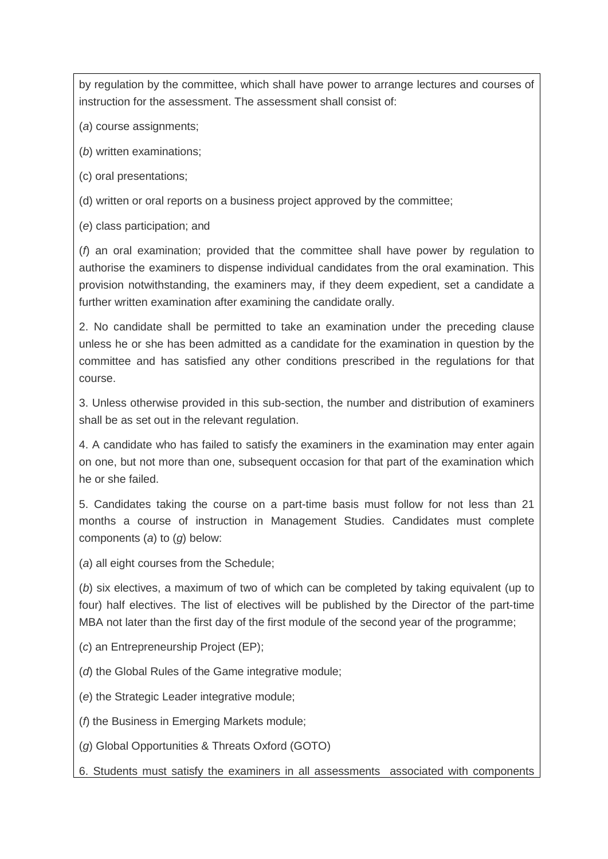by regulation by the committee, which shall have power to arrange lectures and courses of instruction for the assessment. The assessment shall consist of:

(*a*) course assignments;

(*b*) written examinations;

(c) oral presentations;

(d) written or oral reports on a business project approved by the committee;

(*e*) class participation; and

(*f*) an oral examination; provided that the committee shall have power by regulation to authorise the examiners to dispense individual candidates from the oral examination. This provision notwithstanding, the examiners may, if they deem expedient, set a candidate a further written examination after examining the candidate orally.

2. No candidate shall be permitted to take an examination under the preceding clause unless he or she has been admitted as a candidate for the examination in question by the committee and has satisfied any other conditions prescribed in the regulations for that course.

3. Unless otherwise provided in this sub-section, the number and distribution of examiners shall be as set out in the relevant regulation.

4. A candidate who has failed to satisfy the examiners in the examination may enter again on one, but not more than one, subsequent occasion for that part of the examination which he or she failed.

5. Candidates taking the course on a part-time basis must follow for not less than 21 months a course of instruction in Management Studies. Candidates must complete components (*a*) to (*g*) below:

(*a*) all eight courses from the Schedule;

(*b*) six electives, a maximum of two of which can be completed by taking equivalent (up to four) half electives. The list of electives will be published by the Director of the part-time MBA not later than the first day of the first module of the second year of the programme;

(*c*) an Entrepreneurship Project (EP);

(*d*) the Global Rules of the Game integrative module;

(*e*) the Strategic Leader integrative module;

(*f*) the Business in Emerging Markets module;

(*g*) Global Opportunities & Threats Oxford (GOTO)

6. Students must satisfy the examiners in all assessments associated with components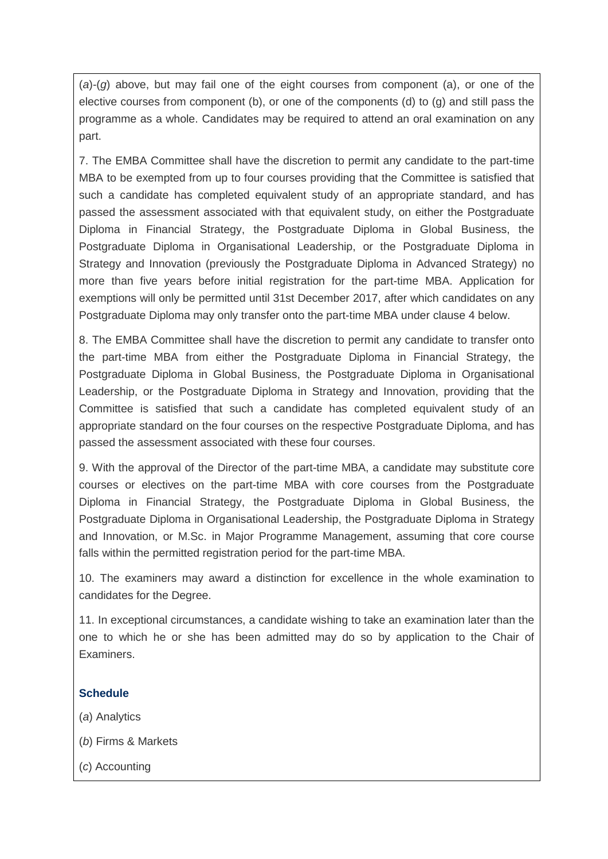(*a*)-(*g*) above, but may fail one of the eight courses from component (a), or one of the elective courses from component (b), or one of the components (d) to (g) and still pass the programme as a whole. Candidates may be required to attend an oral examination on any part.

7. The EMBA Committee shall have the discretion to permit any candidate to the part-time MBA to be exempted from up to four courses providing that the Committee is satisfied that such a candidate has completed equivalent study of an appropriate standard, and has passed the assessment associated with that equivalent study, on either the Postgraduate Diploma in Financial Strategy, the Postgraduate Diploma in Global Business, the Postgraduate Diploma in Organisational Leadership, or the Postgraduate Diploma in Strategy and Innovation (previously the Postgraduate Diploma in Advanced Strategy) no more than five years before initial registration for the part-time MBA. Application for exemptions will only be permitted until 31st December 2017, after which candidates on any Postgraduate Diploma may only transfer onto the part-time MBA under clause 4 below.

8. The EMBA Committee shall have the discretion to permit any candidate to transfer onto the part-time MBA from either the Postgraduate Diploma in Financial Strategy, the Postgraduate Diploma in Global Business, the Postgraduate Diploma in Organisational Leadership, or the Postgraduate Diploma in Strategy and Innovation, providing that the Committee is satisfied that such a candidate has completed equivalent study of an appropriate standard on the four courses on the respective Postgraduate Diploma, and has passed the assessment associated with these four courses.

9. With the approval of the Director of the part-time MBA, a candidate may substitute core courses or electives on the part-time MBA with core courses from the Postgraduate Diploma in Financial Strategy, the Postgraduate Diploma in Global Business, the Postgraduate Diploma in Organisational Leadership, the Postgraduate Diploma in Strategy and Innovation, or M.Sc. in Major Programme Management, assuming that core course falls within the permitted registration period for the part-time MBA.

10. The examiners may award a distinction for excellence in the whole examination to candidates for the Degree.

11. In exceptional circumstances, a candidate wishing to take an examination later than the one to which he or she has been admitted may do so by application to the Chair of Examiners.

# **Schedule**

- (*a*) Analytics
- (*b*) Firms & Markets
- (*c*) Accounting